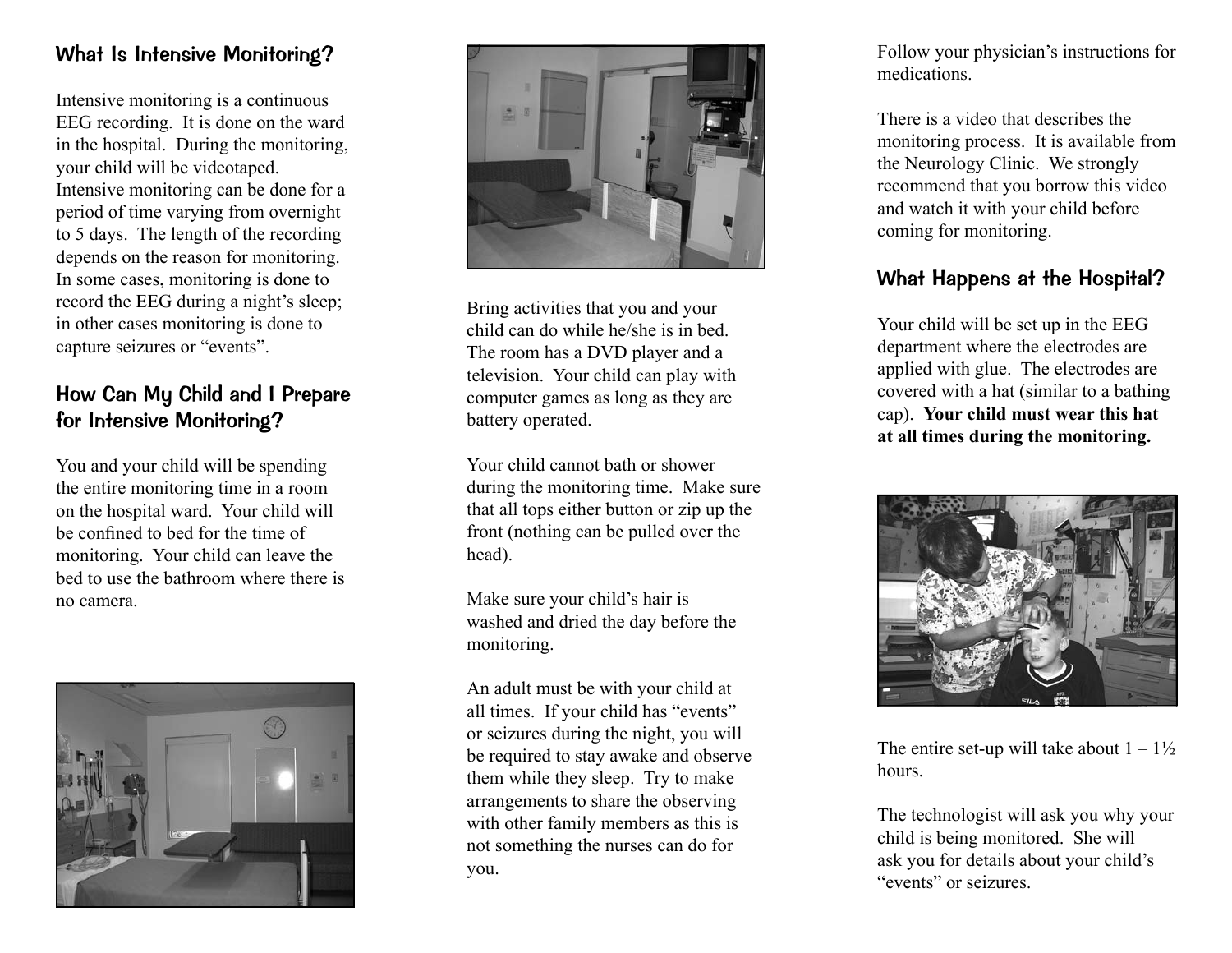#### What Is Intensive Monitoring?

Intensive monitoring is a continuous EEG recording. It is done on the ward in the hospital. During the monitoring, your child will be videotaped. Intensive monitoring can be done for a period of time varying from overnight to 5 days. The length of the recording depends on the reason for monitoring. In some cases, monitoring is done to record the EEG during a night's sleep; in other cases monitoring is done to capture seizures or "events".

### How Can My Child and I Prepare for Intensive Monitoring?

You and your child will be spending the entire monitoring time in a room on the hospital ward. Your child will be confined to bed for the time of monitoring. Your child can leave the bed to use the bathroom where there is no camera.





Bring activities that you and your child can do while he/she is in bed. The room has a DVD player and a television. Your child can play with computer games as long as they are battery operated.

Your child cannot bath or shower during the monitoring time. Make sure that all tops either button or zip up the front (nothing can be pulled over the head).

Make sure your child's hair is washed and dried the day before the monitoring.

An adult must be with your child at all times. If your child has "events" or seizures during the night, you will be required to stay awake and observe them while they sleep. Try to make arrangements to share the observing with other family members as this is not something the nurses can do for you.

Follow your physician's instructions for medications.

There is a video that describes the monitoring process. It is available from the Neurology Clinic. We strongly recommend that you borrow this video and watch it with your child before coming for monitoring.

### What Happens at the Hospital?

Your child will be set up in the EEG department where the electrodes are applied with glue. The electrodes are covered with a hat (similar to a bathing cap). **Your child must wear this hat at all times during the monitoring.**



The entire set-up will take about  $1 - 1\frac{1}{2}$ hours.

The technologist will ask you why your child is being monitored. She will ask you for details about your child's "events" or seizures.